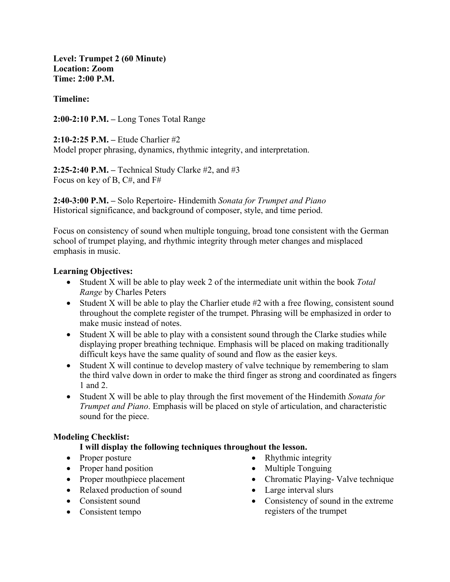**Level: Trumpet 2 (60 Minute) Location: Zoom Time: 2:00 P.M.**

### **Timeline:**

**2:00-2:10 P.M. –** Long Tones Total Range

**2:10-2:25 P.M. –** Etude Charlier #2 Model proper phrasing, dynamics, rhythmic integrity, and interpretation.

**2:25-2:40 P.M. –** Technical Study Clarke #2, and #3 Focus on key of B, C#, and F#

**2:40-3:00 P.M. –** Solo Repertoire- Hindemith *Sonata for Trumpet and Piano* Historical significance, and background of composer, style, and time period.

Focus on consistency of sound when multiple tonguing, broad tone consistent with the German school of trumpet playing, and rhythmic integrity through meter changes and misplaced emphasis in music.

#### **Learning Objectives:**

- Student X will be able to play week 2 of the intermediate unit within the book *Total Range* by Charles Peters
- Student X will be able to play the Charlier etude #2 with a free flowing, consistent sound throughout the complete register of the trumpet. Phrasing will be emphasized in order to make music instead of notes.
- Student X will be able to play with a consistent sound through the Clarke studies while displaying proper breathing technique. Emphasis will be placed on making traditionally difficult keys have the same quality of sound and flow as the easier keys.
- Student X will continue to develop mastery of valve technique by remembering to slam the third valve down in order to make the third finger as strong and coordinated as fingers 1 and 2.
- Student X will be able to play through the first movement of the Hindemith *Sonata for Trumpet and Piano*. Emphasis will be placed on style of articulation, and characteristic sound for the piece.

# **Modeling Checklist:**

# **I will display the following techniques throughout the lesson.**

- Proper posture
- Proper hand position
- Proper mouthpiece placement
- Relaxed production of sound
- Consistent sound
- Consistent tempo
- Rhythmic integrity
- Multiple Tonguing
- Chromatic Playing- Valve technique
- Large interval slurs
- Consistency of sound in the extreme registers of the trumpet